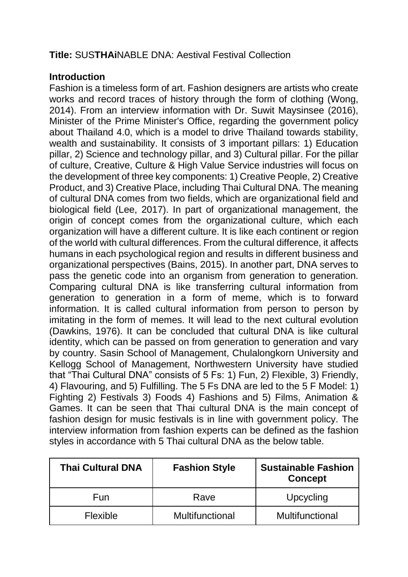# **Title:** SUS**THAi**NABLE DNA: Aestival Festival Collection

#### **Introduction**

Fashion is a timeless form of art. Fashion designers are artists who create works and record traces of history through the form of clothing (Wong, 2014). From an interview information with Dr. Suwit Maysinsee (2016), Minister of the Prime Minister's Office, regarding the government policy about Thailand 4.0, which is a model to drive Thailand towards stability, wealth and sustainability. It consists of 3 important pillars: 1) Education pillar, 2) Science and technology pillar, and 3) Cultural pillar. For the pillar of culture, Creative, Culture & High Value Service industries will focus on the development of three key components: 1) Creative People, 2) Creative Product, and 3) Creative Place, including Thai Cultural DNA. The meaning of cultural DNA comes from two fields, which are organizational field and biological field (Lee, 2017). In part of organizational management, the origin of concept comes from the organizational culture, which each organization will have a different culture. It is like each continent or region of the world with cultural differences. From the cultural difference, it affects humans in each psychological region and results in different business and organizational perspectives (Bains, 2015). In another part, DNA serves to pass the genetic code into an organism from generation to generation. Comparing cultural DNA is like transferring cultural information from generation to generation in a form of meme, which is to forward information. It is called cultural information from person to person by imitating in the form of memes. It will lead to the next cultural evolution (Dawkins, 1976). It can be concluded that cultural DNA is like cultural identity, which can be passed on from generation to generation and vary by country. Sasin School of Management, Chulalongkorn University and Kellogg School of Management, Northwestern University have studied that "Thai Cultural DNA" consists of 5 Fs: 1) Fun, 2) Flexible, 3) Friendly, 4) Flavouring, and 5) Fulfilling. The 5 Fs DNA are led to the 5 F Model: 1) Fighting 2) Festivals 3) Foods 4) Fashions and 5) Films, Animation & Games. It can be seen that Thai cultural DNA is the main concept of fashion design for music festivals is in line with government policy. The interview information from fashion experts can be defined as the fashion styles in accordance with 5 Thai cultural DNA as the below table.

| <b>Thai Cultural DNA</b> | <b>Fashion Style</b> | <b>Sustainable Fashion</b><br><b>Concept</b> |
|--------------------------|----------------------|----------------------------------------------|
| Fun                      | Rave                 | Upcycling                                    |
| <b>Flexible</b>          | Multifunctional      | Multifunctional                              |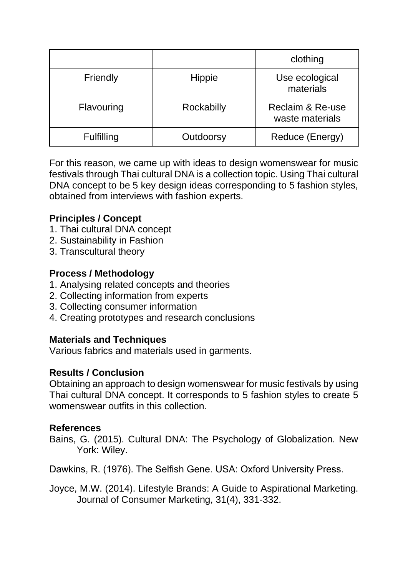|                   |               | clothing                                       |
|-------------------|---------------|------------------------------------------------|
| Friendly          | <b>Hippie</b> | Use ecological<br>materials                    |
| Flavouring        | Rockabilly    | <b>Reclaim &amp; Re-use</b><br>waste materials |
| <b>Fulfilling</b> | Outdoorsy     | Reduce (Energy)                                |

For this reason, we came up with ideas to design womenswear for music festivals through Thai cultural DNA is a collection topic. Using Thai cultural DNA concept to be 5 key design ideas corresponding to 5 fashion styles, obtained from interviews with fashion experts.

## **Principles / Concept**

- 1. Thai cultural DNA concept
- 2. Sustainability in Fashion
- 3. Transcultural theory

### **Process / Methodology**

- 1. Analysing related concepts and theories
- 2. Collecting information from experts
- 3. Collecting consumer information
- 4. Creating prototypes and research conclusions

### **Materials and Techniques**

Various fabrics and materials used in garments.

### **Results / Conclusion**

Obtaining an approach to design womenswear for music festivals by using Thai cultural DNA concept. It corresponds to 5 fashion styles to create 5 womenswear outfits in this collection.

### **References**

Bains, G. (2015). Cultural DNA: The Psychology of Globalization. New York: Wiley.

Dawkins, R. (1976). The Selfish Gene. USA: Oxford University Press.

Joyce, M.W. (2014). Lifestyle Brands: A Guide to Aspirational Marketing. Journal of Consumer Marketing, 31(4), 331-332.